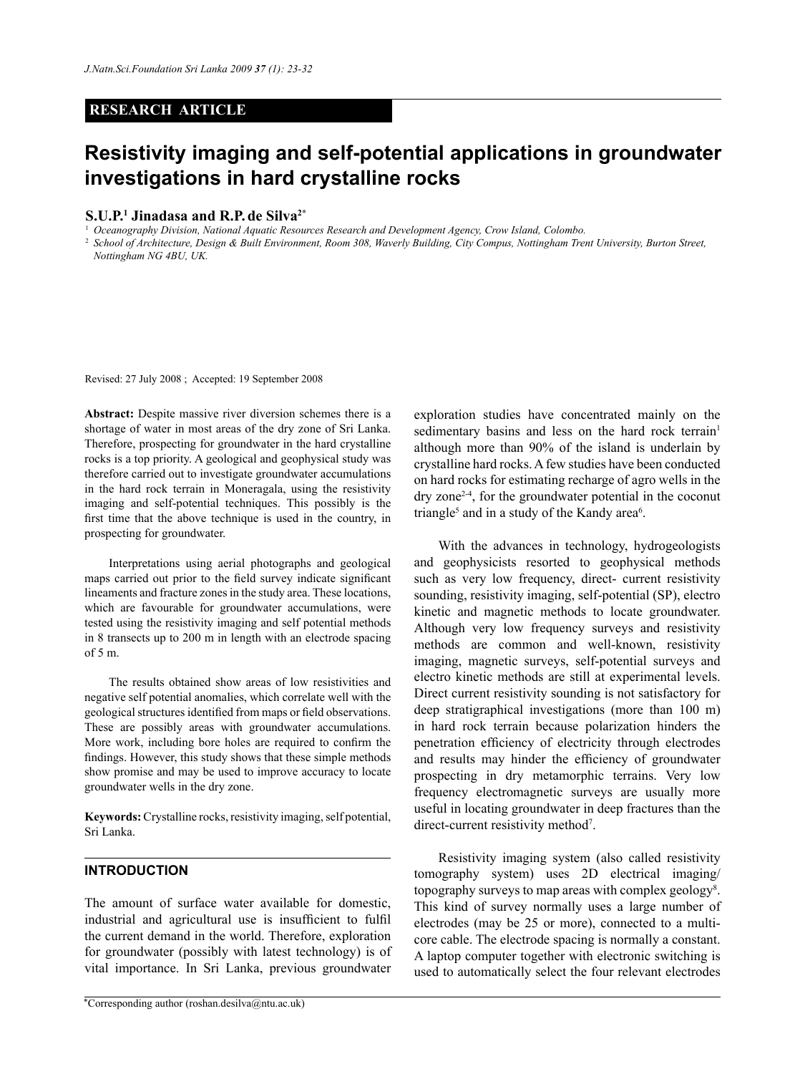#### **RESEARCH ARTICLE**

# **Resistivity imaging and self-potential applications in groundwater investigations in hard crystalline rocks**

#### **S.U.P.1 Jinadasa and R.P. de Silva2\***

<sup>1</sup> *Oceanography Division, National Aquatic Resources Research and Development Agency, Crow Island, Colombo.*

<sup>2</sup>*School of Architecture, Design & Built Environment, Room 308, Waverly Building, City Compus, Nottingham Trent University, Burton Street, Nottingham NG 4BU, UK.* 

Revised: 27 July 2008 ; Accepted: 19 September 2008

Abstract: Despite massive river diversion schemes there is a shortage of water in most areas of the dry zone of Sri Lanka. Therefore, prospecting for groundwater in the hard crystalline rocks is a top priority. A geological and geophysical study was therefore carried out to investigate groundwater accumulations in the hard rock terrain in Moneragala, using the resistivity imaging and self-potential techniques. This possibly is the first time that the above technique is used in the country, in prospecting for groundwater.

Interpretations using aerial photographs and geological maps carried out prior to the field survey indicate significant lineaments and fracture zones in the study area. These locations, which are favourable for groundwater accumulations, were tested using the resistivity imaging and self potential methods in 8 transects up to 200 m in length with an electrode spacing  $of 5 m$ 

The results obtained show areas of low resistivities and negative self potential anomalies, which correlate well with the geological structures identified from maps or field observations. These are possibly areas with groundwater accumulations. More work, including bore holes are required to confirm the findings. However, this study shows that these simple methods show promise and may be used to improve accuracy to locate groundwater wells in the dry zone.

**Keywords:** Crystalline rocks, resistivity imaging, self potential, Sri Lanka.

#### **INTRODUCTION**

The amount of surface water available for domestic, industrial and agricultural use is insufficient to fulfil the current demand in the world. Therefore, exploration for groundwater (possibly with latest technology) is of vital importance. In Sri Lanka, previous groundwater

exploration studies have concentrated mainly on the sedimentary basins and less on the hard rock terrain<sup>1</sup> although more than 90% of the island is underlain by crystalline hard rocks. A few studies have been conducted on hard rocks for estimating recharge of agro wells in the dry zone2-4, for the groundwater potential in the coconut triangle<sup>5</sup> and in a study of the Kandy area<sup>6</sup>.

With the advances in technology, hydrogeologists and geophysicists resorted to geophysical methods such as very low frequency, direct- current resistivity sounding, resistivity imaging, self-potential (SP), electro kinetic and magnetic methods to locate groundwater. Although very low frequency surveys and resistivity methods are common and well-known, resistivity imaging, magnetic surveys, self-potential surveys and electro kinetic methods are still at experimental levels. Direct current resistivity sounding is not satisfactory for deep stratigraphical investigations (more than 100 m) in hard rock terrain because polarization hinders the penetration efficiency of electricity through electrodes and results may hinder the efficiency of groundwater prospecting in dry metamorphic terrains. Very low frequency electromagnetic surveys are usually more useful in locating groundwater in deep fractures than the direct-current resistivity method<sup>7</sup>.

Resistivity imaging system (also called resistivity tomography system) uses 2D electrical imaging/ topography surveys to map areas with complex geology<sup>8</sup>. This kind of survey normally uses a large number of electrodes (may be 25 or more), connected to a multicore cable. The electrode spacing is normally a constant. A laptop computer together with electronic switching is used to automatically select the four relevant electrodes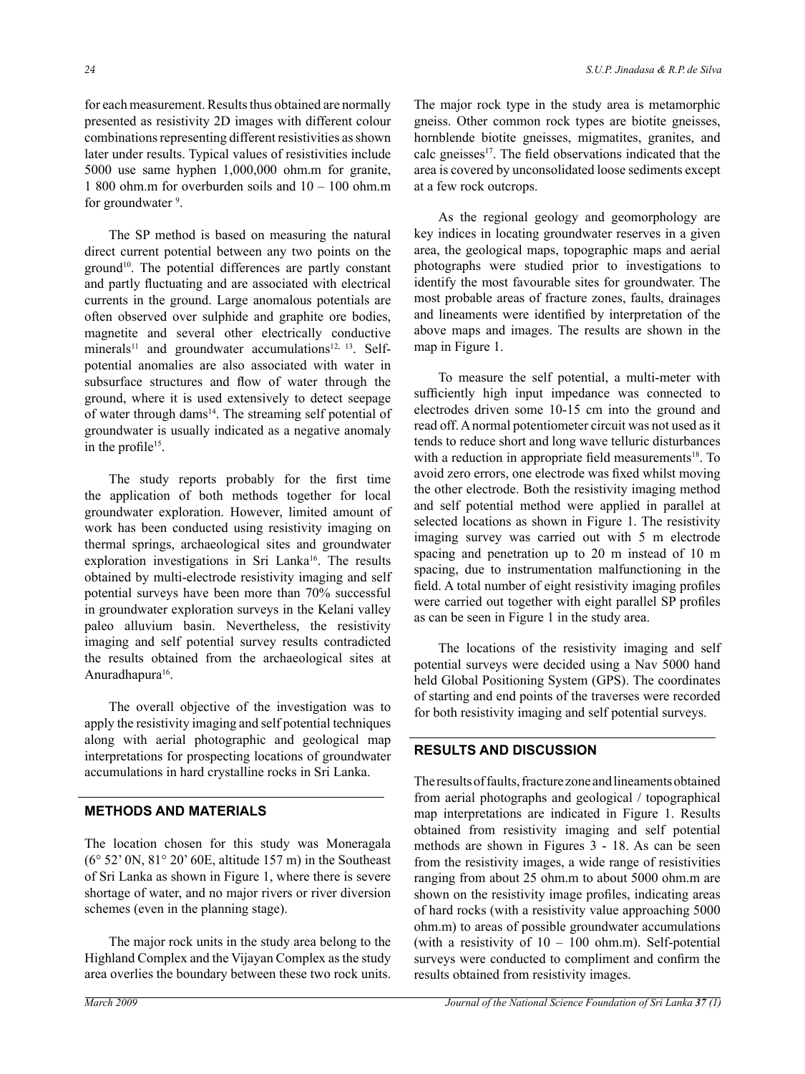for each measurement. Results thus obtained are normally presented as resistivity 2D images with different colour combinations representing different resistivities as shown later under results. Typical values of resistivities include 5000 use same hyphen 1,000,000 ohm.m for granite, 1 800 ohm.m for overburden soils and 10 – 100 ohm.m for groundwater <sup>9</sup>.

The SP method is based on measuring the natural direct current potential between any two points on the ground<sup>10</sup>. The potential differences are partly constant and partly fluctuating and are associated with electrical currents in the ground. Large anomalous potentials are often observed over sulphide and graphite ore bodies, magnetite and several other electrically conductive minerals<sup>11</sup> and groundwater accumulations<sup>12, 13</sup>. Selfpotential anomalies are also associated with water in subsurface structures and flow of water through the ground, where it is used extensively to detect seepage of water through dams<sup>14</sup>. The streaming self potential of groundwater is usually indicated as a negative anomaly in the profile15.

The study reports probably for the first time the application of both methods together for local groundwater exploration. However, limited amount of work has been conducted using resistivity imaging on thermal springs, archaeological sites and groundwater exploration investigations in Sri Lanka<sup>16</sup>. The results obtained by multi-electrode resistivity imaging and self potential surveys have been more than 70% successful in groundwater exploration surveys in the Kelani valley paleo alluvium basin. Nevertheless, the resistivity imaging and self potential survey results contradicted the results obtained from the archaeological sites at Anuradhapura<sup>16</sup>.

The overall objective of the investigation was to apply the resistivity imaging and self potential techniques along with aerial photographic and geological map interpretations for prospecting locations of groundwater accumulations in hard crystalline rocks in Sri Lanka.

#### **METHODS AND MATERIALS**

The location chosen for this study was Moneragala (6° 52' 0N, 81° 20' 60E, altitude 157 m) in the Southeast of Sri Lanka as shown in Figure 1, where there is severe shortage of water, and no major rivers or river diversion schemes (even in the planning stage).

The major rock units in the study area belong to the Highland Complex and the Vijayan Complex as the study area overlies the boundary between these two rock units.

The major rock type in the study area is metamorphic gneiss. Other common rock types are biotite gneisses, hornblende biotite gneisses, migmatites, granites, and calc gneisses<sup>17</sup>. The field observations indicated that the area is covered by unconsolidated loose sediments except at a few rock outcrops.

As the regional geology and geomorphology are key indices in locating groundwater reserves in a given area, the geological maps, topographic maps and aerial photographs were studied prior to investigations to identify the most favourable sites for groundwater. The most probable areas of fracture zones, faults, drainages and lineaments were identified by interpretation of the above maps and images. The results are shown in the map in Figure 1.

To measure the self potential, a multi-meter with sufficiently high input impedance was connected to electrodes driven some 10-15 cm into the ground and read off. A normal potentiometer circuit was not used as it tends to reduce short and long wave telluric disturbances with a reduction in appropriate field measurements<sup>18</sup>. To avoid zero errors, one electrode was fixed whilst moving the other electrode. Both the resistivity imaging method and self potential method were applied in parallel at selected locations as shown in Figure 1. The resistivity imaging survey was carried out with 5 m electrode spacing and penetration up to 20 m instead of 10 m spacing, due to instrumentation malfunctioning in the field. A total number of eight resistivity imaging profiles were carried out together with eight parallel SP profiles as can be seen in Figure 1 in the study area.

The locations of the resistivity imaging and self potential surveys were decided using a Nav 5000 hand held Global Positioning System (GPS). The coordinates of starting and end points of the traverses were recorded for both resistivity imaging and self potential surveys.

## **RESULTS AND DISCUSSION**

The results of faults, fracture zone and lineaments obtained from aerial photographs and geological / topographical map interpretations are indicated in Figure 1. Results obtained from resistivity imaging and self potential methods are shown in Figures 3 - 18. As can be seen from the resistivity images, a wide range of resistivities ranging from about 25 ohm.m to about 5000 ohm.m are shown on the resistivity image profiles, indicating areas of hard rocks (with a resistivity value approaching 5000 ohm.m) to areas of possible groundwater accumulations (with a resistivity of  $10 - 100$  ohm.m). Self-potential surveys were conducted to compliment and confirm the results obtained from resistivity images.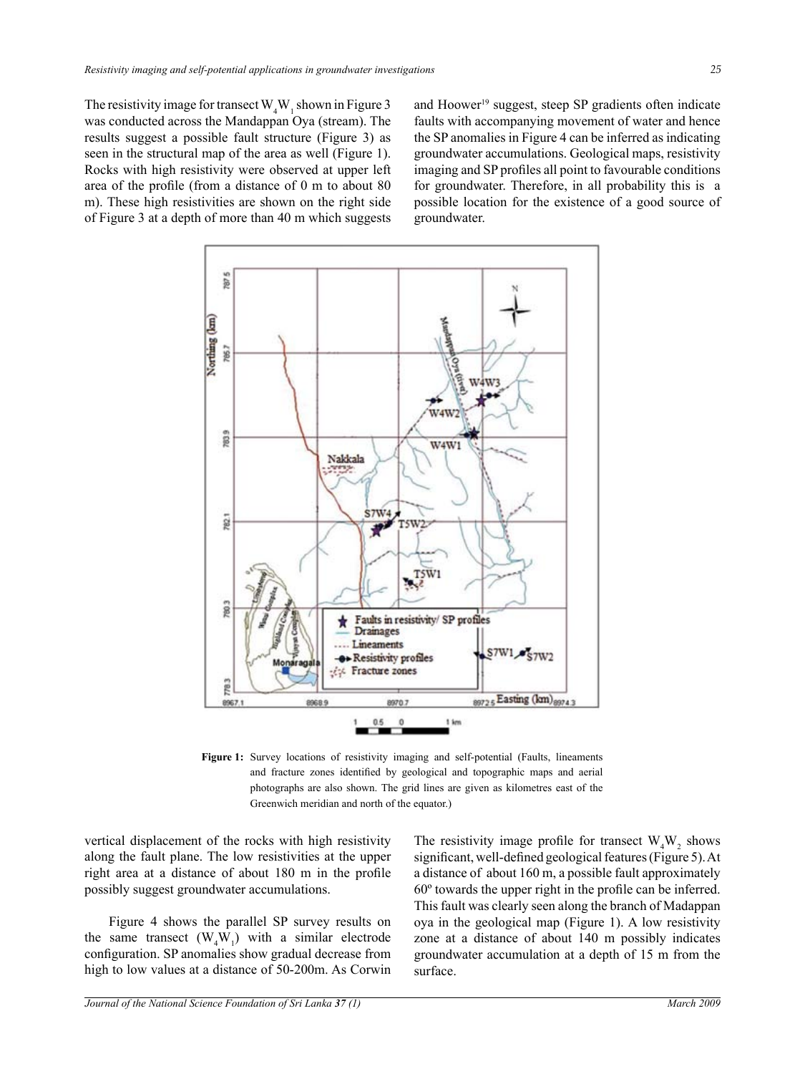The resistivity image for transect  $W_4W_1$  shown in Figure 3 was conducted across the Mandappan Oya (stream). The results suggest a possible fault structure (Figure 3) as seen in the structural map of the area as well (Figure 1). Rocks with high resistivity were observed at upper left area of the profile (from a distance of 0 m to about 80 m). These high resistivities are shown on the right side of Figure 3 at a depth of more than 40 m which suggests

and Hoower<sup>19</sup> suggest, steep SP gradients often indicate faults with accompanying movement of water and hence the SP anomalies in Figure 4 can be inferred as indicating groundwater accumulations. Geological maps, resistivity imaging and SP profiles all point to favourable conditions for groundwater. Therefore, in all probability this is a possible location for the existence of a good source of groundwater.



**Figure 1:** Survey locations of resistivity imaging and self-potential (Faults, lineaments and fracture zones identified by geological and topographic maps and aerial photographs are also shown. The grid lines are given as kilometres east of the Greenwich meridian and north of the equator.)

vertical displacement of the rocks with high resistivity along the fault plane. The low resistivities at the upper right area at a distance of about 180 m in the profile possibly suggest groundwater accumulations.

Figure 4 shows the parallel SP survey results on the same transect  $(W_4W_1)$  with a similar electrode configuration. SP anomalies show gradual decrease from high to low values at a distance of 50-200m. As Corwin

The resistivity image profile for transect  $W_4W_2$  shows significant, well-defined geological features (Figure 5). At a distance of about 160 m, a possible fault approximately 60º towards the upper right in the profile can be inferred. This fault was clearly seen along the branch of Madappan oya in the geological map (Figure 1). A low resistivity zone at a distance of about 140 m possibly indicates groundwater accumulation at a depth of 15 m from the surface.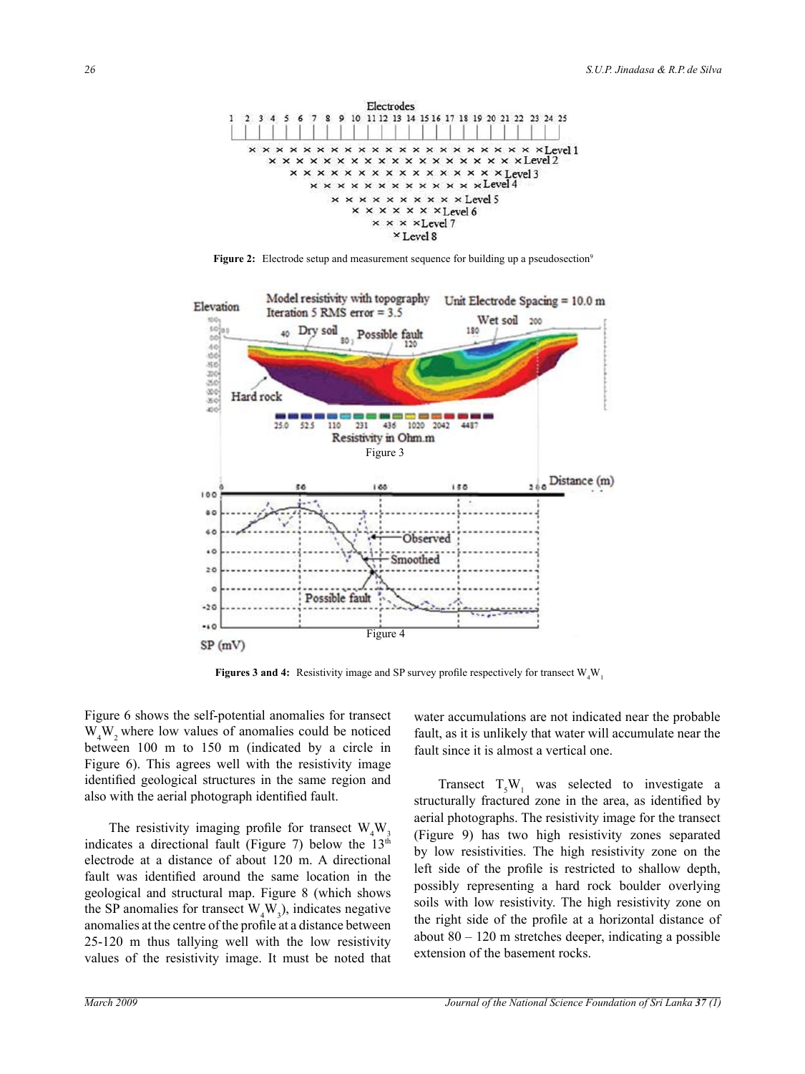

Figure 2: Electrode setup and measurement sequence for building up a pseudosection<sup>9</sup>



**Figures 3 and 4:** Resistivity image and SP survey profile respectively for transect  $W_4W_1$ 

Figure 6 shows the self-potential anomalies for transect  $W_4W_2$  where low values of anomalies could be noticed between 100 m to 150 m (indicated by a circle in Figure 6). This agrees well with the resistivity image identified geological structures in the same region and also with the aerial photograph identified fault.

The resistivity imaging profile for transect  $W_4W_3$ indicates a directional fault (Figure 7) below the  $13<sup>th</sup>$ electrode at a distance of about 120 m. A directional fault was identified around the same location in the geological and structural map. Figure 8 (which shows the SP anomalies for transect  $W_4W_3$ ), indicates negative anomalies at the centre of the profile at a distance between 25-120 m thus tallying well with the low resistivity values of the resistivity image. It must be noted that

water accumulations are not indicated near the probable fault, as it is unlikely that water will accumulate near the fault since it is almost a vertical one.

Transect  $T_sW_1$  was selected to investigate a structurally fractured zone in the area, as identified by aerial photographs. The resistivity image for the transect (Figure 9) has two high resistivity zones separated by low resistivities. The high resistivity zone on the left side of the profile is restricted to shallow depth, possibly representing a hard rock boulder overlying soils with low resistivity. The high resistivity zone on the right side of the profile at a horizontal distance of about  $80 - 120$  m stretches deeper, indicating a possible extension of the basement rocks.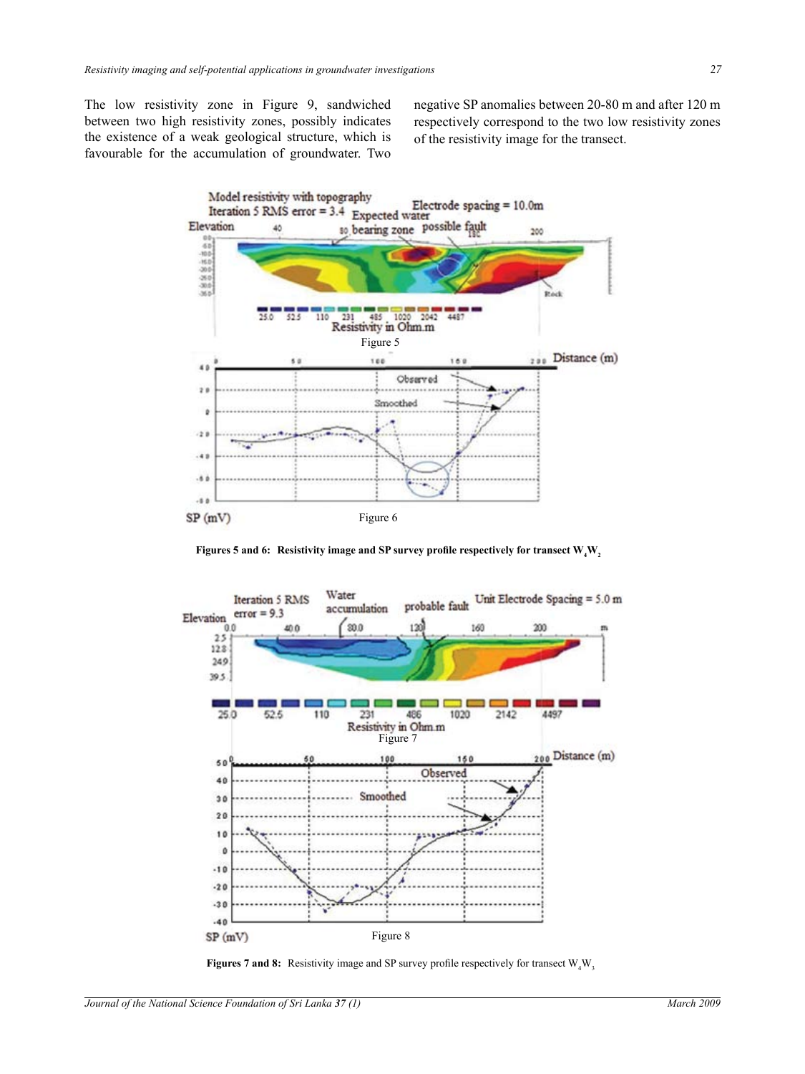The low resistivity zone in Figure 9, sandwiched between two high resistivity zones, possibly indicates the existence of a weak geological structure, which is favourable for the accumulation of groundwater. Two negative SP anomalies between 20-80 m and after 120 m respectively correspond to the two low resistivity zones of the resistivity image for the transect.



**Figures 5** and 6: Resistivity image and SP survey profile respectively for transect  $\mathbf{W}_4 \mathbf{W}_2$ 



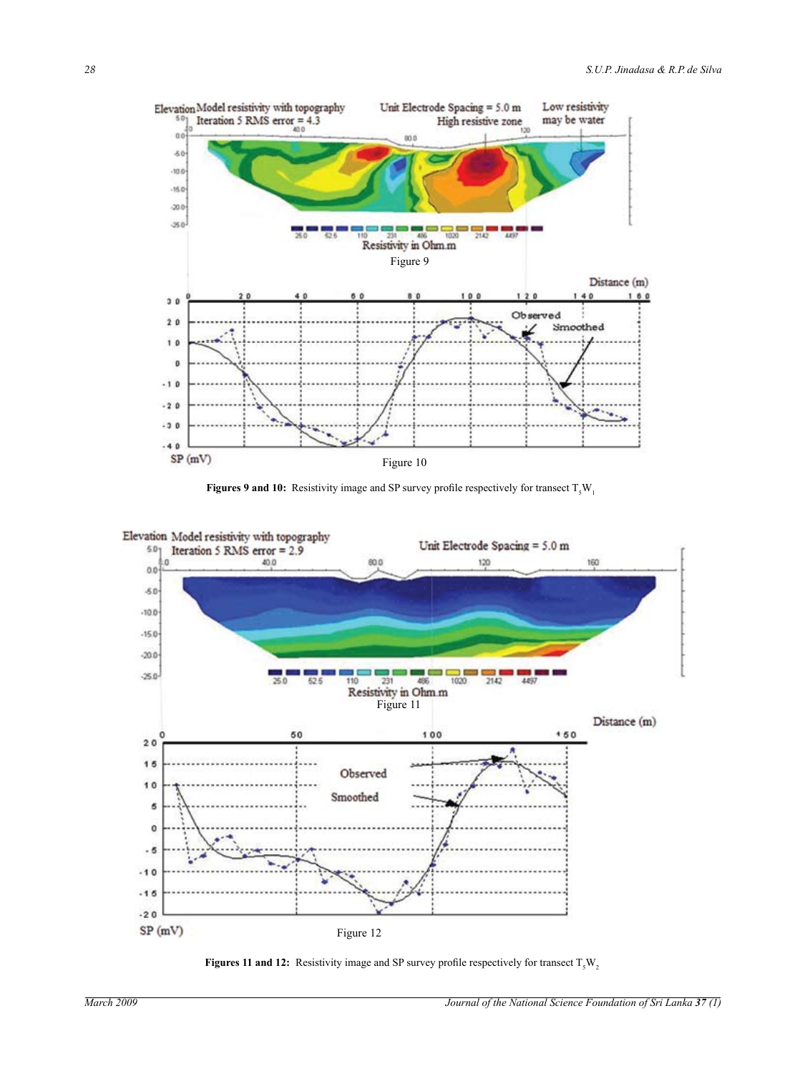





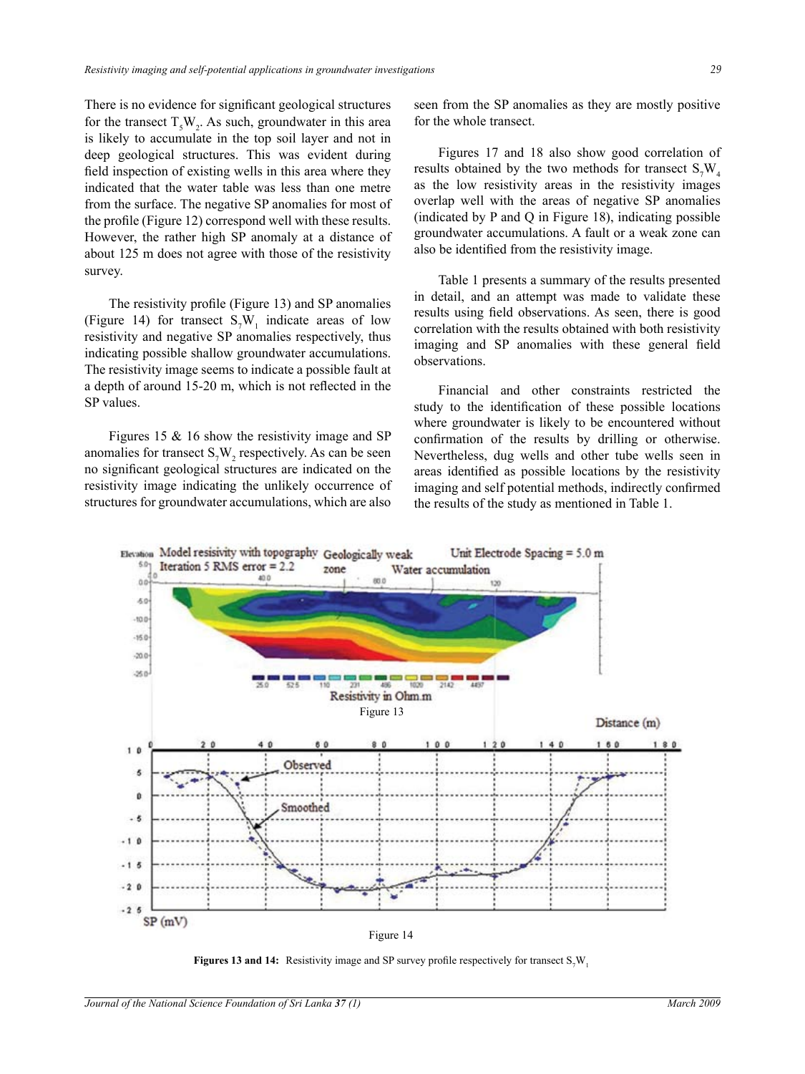There is no evidence for significant geological structures for the transect  $T_sW_2$ . As such, groundwater in this area is likely to accumulate in the top soil layer and not in deep geological structures. This was evident during field inspection of existing wells in this area where they indicated that the water table was less than one metre from the surface. The negative SP anomalies for most of the profile (Figure 12) correspond well with these results. However, the rather high SP anomaly at a distance of about 125 m does not agree with those of the resistivity survey.

The resistivity profile (Figure 13) and SP anomalies (Figure 14) for transect  $S_7W_1$  indicate areas of low resistivity and negative SP anomalies respectively, thus indicating possible shallow groundwater accumulations. The resistivity image seems to indicate a possible fault at a depth of around 15-20 m, which is not reflected in the SP values.

Figures 15 & 16 show the resistivity image and SP anomalies for transect  $S_7W_2$  respectively. As can be seen no significant geological structures are indicated on the resistivity image indicating the unlikely occurrence of structures for groundwater accumulations, which are also

seen from the SP anomalies as they are mostly positive for the whole transect.

Figures 17 and 18 also show good correlation of results obtained by the two methods for transect  $S_7W_4$ as the low resistivity areas in the resistivity images overlap well with the areas of negative SP anomalies (indicated by P and Q in Figure 18), indicating possible groundwater accumulations. A fault or a weak zone can also be identified from the resistivity image.

Table 1 presents a summary of the results presented in detail, and an attempt was made to validate these results using field observations. As seen, there is good correlation with the results obtained with both resistivity imaging and SP anomalies with these general field observations.

Financial and other constraints restricted the study to the identification of these possible locations where groundwater is likely to be encountered without confirmation of the results by drilling or otherwise. Nevertheless, dug wells and other tube wells seen in areas identified as possible locations by the resistivity imaging and self potential methods, indirectly confirmed the results of the study as mentioned in Table 1.



**Figures 13 and 14:** Resistivity image and SP survey profile respectively for transect  $S_7W_1$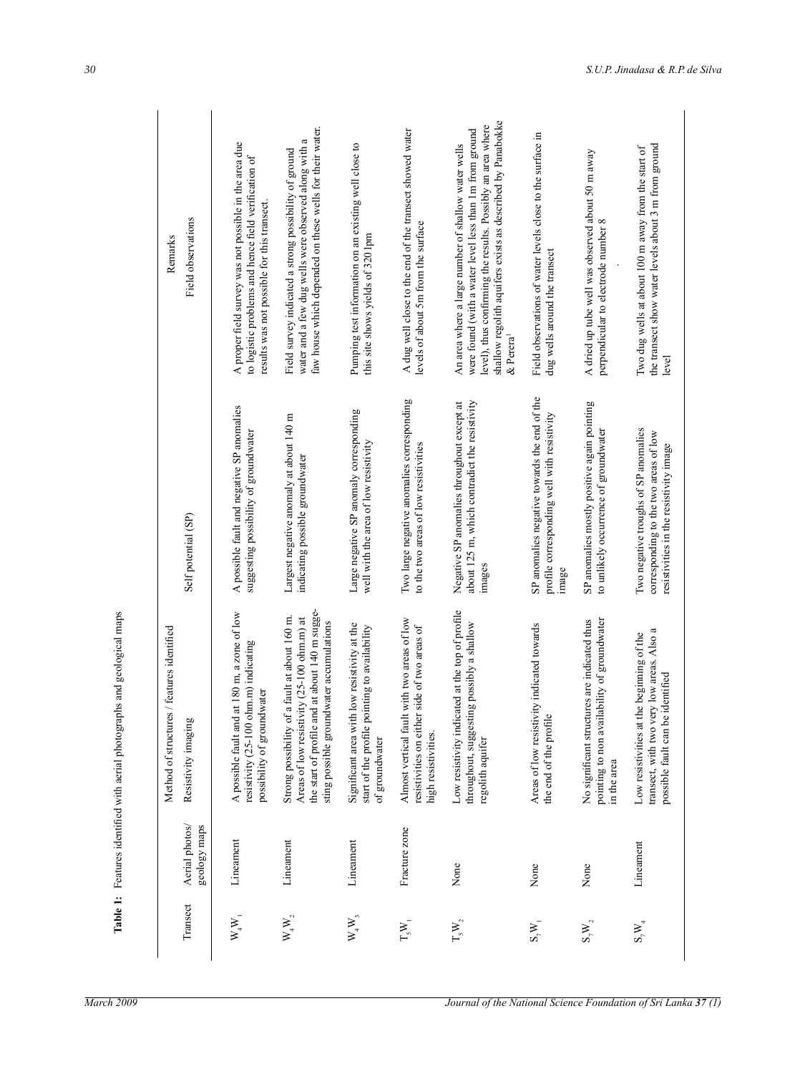| Transect                                           | Aerial photos/<br>geology maps | Method of structures / features identified<br>Resistivity imaging                                                                                                                         | Self potential (SP)                                                                                                     | Field observations<br>Remarks                                                                                                                                                                                                                                           |
|----------------------------------------------------|--------------------------------|-------------------------------------------------------------------------------------------------------------------------------------------------------------------------------------------|-------------------------------------------------------------------------------------------------------------------------|-------------------------------------------------------------------------------------------------------------------------------------------------------------------------------------------------------------------------------------------------------------------------|
| $W_4W_1$                                           | Lineament                      | A possible fault and at 180 m, a zone of low<br>ohm.m) indicating<br>possibility of groundwater<br>resistivity (25-100                                                                    | A possible fault and negative SP anomalies<br>suggesting possibility of groundwater                                     | A proper field survey was not possible in the area due<br>to logistic problems and hence field verification of<br>results was not possible for this transect.                                                                                                           |
| $W_4W_2$                                           | Lineament                      | the start of profile and at about 140 m sugge-<br>Strong possibility of a fault at about 160 m.<br>Areas of low resistivity (25-100 ohm.m) at<br>sting possible groundwater accumulations | Largest negative anomaly at about 140 m<br>indicating possible groundwater                                              | faw house which depended on these wells for their water.<br>water and a few dug wells were observed along with a<br>Field survey indicated a strong possibility of ground                                                                                               |
| $\mathbf{W}_4\mathbf{W}_3$                         | Lineament                      | Significant area with low resistivity at the<br>start of the profile pointing to availability<br>of groundwater                                                                           | Large negative SP anomaly corresponding<br>well with the area of low resistivity                                        | Pumping test information on an existing well close to<br>this site shows yields of 320 lpm                                                                                                                                                                              |
| $\mathcal{T}_{\mathbf{5}}\mathcal{W}_{\mathbf{1}}$ | Fracture zone                  | Almost vertical fault with two areas of low<br>resistivities on either side of two areas of<br>high resistivities.                                                                        | Two large negative anomalies corresponding<br>to the two areas of low resistivities                                     | A dug well close to the end of the transect showed water<br>levels of about 5m from the surface                                                                                                                                                                         |
| $\Gamma_{\rm s} \rm W_2$                           | None                           | icated at the top of profile<br>throughout, suggesting possibly a shallow<br>Low resistivity indi<br>regolith aquifer                                                                     | Negative SP anomalies throughout except at<br>about 125 m, which contradict the resistivity<br>images                   | shallow regolith aquifers exists as described by Panabokke<br>level), thus confirming the results. Possibly an area where<br>were found (with a water level less than 1m from ground<br>An area where a large number of shallow water wells<br>$\&$ Perera <sup>1</sup> |
| $S^{\mathbf{W}}$                                   | None                           | Areas of low resistivity indicated towards<br>$\bullet$<br>the end of the profil                                                                                                          | SP anomalies negative towards the end of the<br>profile corresponding well with resistivity<br>image                    | Field observations of water levels close to the surface in<br>dug wells around the transect                                                                                                                                                                             |
| $S_7W_2$                                           | None                           | pointing to non availability of groundwater<br>No significant structures are indicated thus<br>in the area                                                                                | SP anomalies mostly positive again pointing<br>to unlikely occurrence of groundwater                                    | A dried up tube well was observed about 50 m away<br>perpendicular to electrode number 8                                                                                                                                                                                |
| $S_7W_4$                                           | Lineament                      | transect, with two very low areas. Also a<br>Low resistivities at the beginning of the<br>possible fault can be identified                                                                | Two negative troughs of SP anomalies<br>corresponding to the two areas of low<br>resistivities in the resistivity image | the transect show water levels about 3 m from ground<br>Two dug wells at about 100 m away from the start of<br>level                                                                                                                                                    |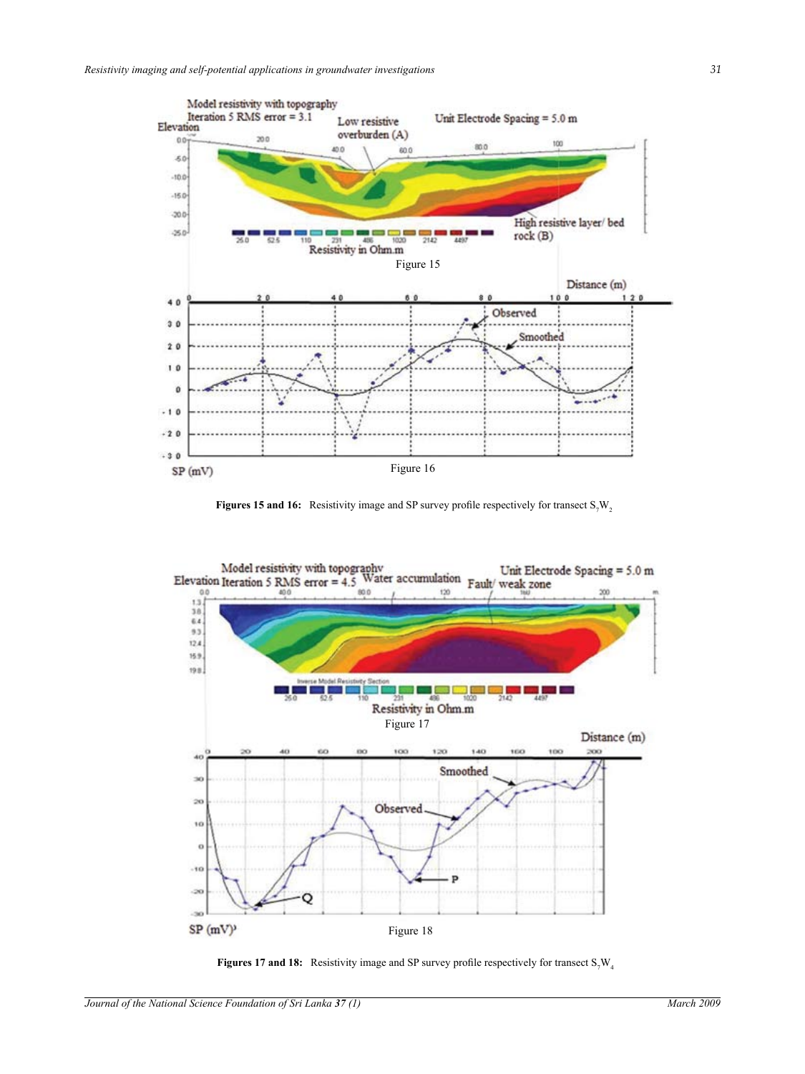

**Figures 15 and 16:** Resistivity image and SP survey profile respectively for transect  $S_7W_2$ 



**Figures 17 and 18:** Resistivity image and SP survey profile respectively for transect  $S_{\gamma}W_{4}$